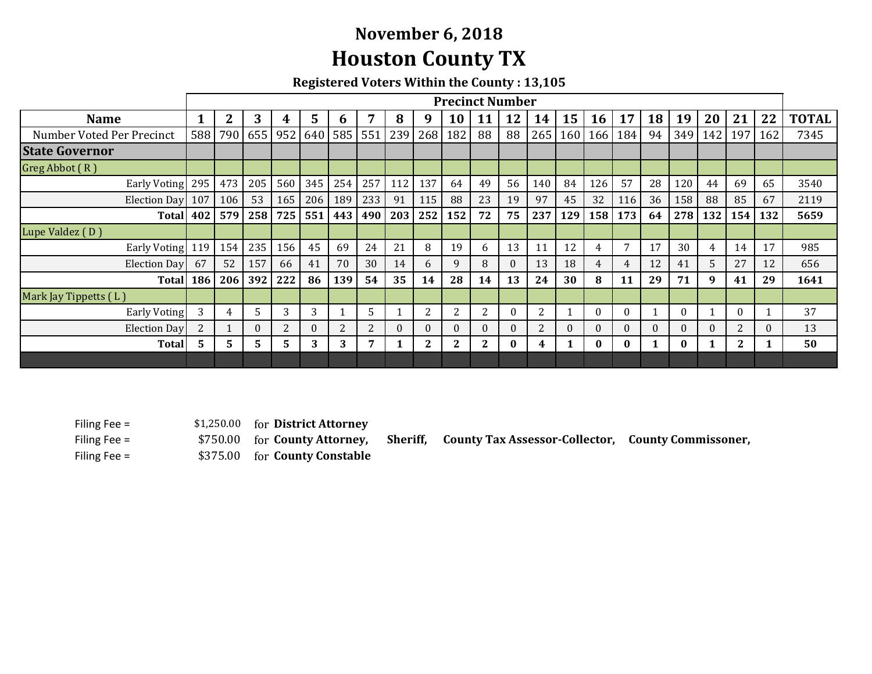## **November 6, 2018 Houston County TX**

**Registered Voters Within the County : 13,105**

|                           | <b>Precinct Number</b> |                |             |     |          |                |     |                       |              |              |                |          |                |          |           |              |          |          |          |             |          |              |
|---------------------------|------------------------|----------------|-------------|-----|----------|----------------|-----|-----------------------|--------------|--------------|----------------|----------|----------------|----------|-----------|--------------|----------|----------|----------|-------------|----------|--------------|
| <b>Name</b>               | 1                      | $\overline{2}$ | 3           | 4   | 5        | $\mathbf b$    | 7   | 8                     | 9            | 10           | 11             | 12       | 14             | 15       | <b>16</b> | 17           | 18       | 19       | 20       | 21          | 22       | <b>TOTAL</b> |
| Number Voted Per Precinct |                        |                | 588 790 655 | 952 |          |                |     | 640   585   551   239 |              | 268 182      | 88             | 88       | 265            | 160      | 166       | 184          | 94       | 349      | 142      | 197         | 162      | 7345         |
| <b>State Governor</b>     |                        |                |             |     |          |                |     |                       |              |              |                |          |                |          |           |              |          |          |          |             |          |              |
| Greg Abbot $(R)$          |                        |                |             |     |          |                |     |                       |              |              |                |          |                |          |           |              |          |          |          |             |          |              |
| Early Voting              | 295                    | 473            | 205         | 560 | 345      | 254            | 257 | 112                   | 137          | 64           | 49             | 56       | 140            | 84       | 126       | 57           | 28       | 120      | 44       | 69          | 65       | 3540         |
| Election Day              | 107                    | 106            | 53          | 165 | 206      | 189            | 233 | 91                    | 115          | 88           | 23             | 19       | 97             | 45       | 32        | 116          | 36       | 158      | 88       | 85          | 67       | 2119         |
| <b>Total</b>              | 402                    | 579            | 258         | 725 | 551      | 443            | 490 | 203                   | 252          | 152          | 72             | 75       | 237            | 129      | 158       | 173          | 64       | 278      | 132      | 154         | 132      | 5659         |
| Lupe Valdez (D)           |                        |                |             |     |          |                |     |                       |              |              |                |          |                |          |           |              |          |          |          |             |          |              |
| <b>Early Voting</b>       | 119                    | 154            | 235         | 156 | 45       | 69             | 24  | 21                    | 8            | 19           | 6              | 13       | 11             | 12       | 4         | 7            | 17       | 30       | 4        | 14          | 17       | 985          |
| <b>Election Dav</b>       | 67                     | 52             | 157         | 66  | 41       | 70             | 30  | 14                    | 6            | 9            | 8              | $\theta$ | 13             | 18       | 4         | 4            | 12       | 41       | 5.       | 27          | 12       | 656          |
| <b>Total</b>              | 186                    | 206            | 392         | 222 | 86       | 139            | 54  | 35                    | 14           | 28           | 14             | 13       | 24             | 30       | 8         | 11           | 29       | 71       | 9        | 41          | 29       | 1641         |
| Mark Jay Tippetts (L)     |                        |                |             |     |          |                |     |                       |              |              |                |          |                |          |           |              |          |          |          |             |          |              |
| Early Voting              | 3                      | 4              | 5           | 3   | 3        |                | 5   |                       | 2            | 2            | $\overline{2}$ | $\theta$ | 2              |          | $\Omega$  | $\mathbf{0}$ |          | $\theta$ |          | $\theta$    |          | 37           |
| <b>Election Day</b>       | $\overline{2}$         |                | $\Omega$    | 2   | $\theta$ | $\overline{2}$ | 2   | $\Omega$              | $\theta$     | $\Omega$     | $\theta$       | $\theta$ | $\overline{2}$ | $\theta$ | 0         | $\theta$     | $\theta$ | $\theta$ | $\Omega$ | 2           | $\Omega$ | 13           |
| <b>Total</b>              | 5                      | 5.             | 5.          | 5.  | 3        | 3              | 7   |                       | $\mathbf{2}$ | $\mathbf{2}$ | 2              | $\bf{0}$ | 4              | 1        | 0         | $\bf{0}$     | 1        | $\bf{0}$ | 1        | $2^{\circ}$ |          | 50           |
|                           |                        |                |             |     |          |                |     |                       |              |              |                |          |                |          |           |              |          |          |          |             |          |              |

Filing Fee =  $$1,250.00$ Filing Fee =  $$750.00$  for **County Attorney**, Filing Fee =  $$375.00$ 

 $for$  **District Attorney** 

\$750.00 **County Attorney, Sheriff, County Tax Assessor‐Collector, County Commissoner,**

for **County Constable**